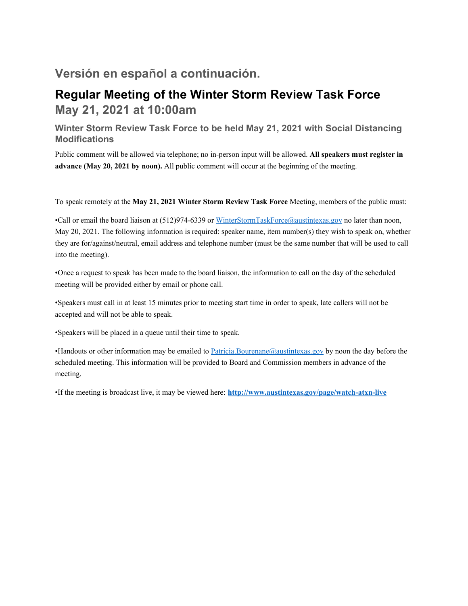# **Versión en español a continuación.**

# **Regular Meeting of the Winter Storm Review Task Force May 21, 2021 at 10:00am**

## **Winter Storm Review Task Force to be held May 21, 2021 with Social Distancing Modifications**

Public comment will be allowed via telephone; no in-person input will be allowed. **All speakers must register in advance (May 20, 2021 by noon).** All public comment will occur at the beginning of the meeting.

To speak remotely at the **May 21, 2021 Winter Storm Review Task Force** Meeting, members of the public must:

•Call or email the board liaison at (512)974-6339 or WinterStormTaskForce@austintexas.gov no later than noon, May 20, 2021. The following information is required: speaker name, item number(s) they wish to speak on, whether they are for/against/neutral, email address and telephone number (must be the same number that will be used to call into the meeting).

•Once a request to speak has been made to the board liaison, the information to call on the day of the scheduled meeting will be provided either by email or phone call.

•Speakers must call in at least 15 minutes prior to meeting start time in order to speak, late callers will not be accepted and will not be able to speak.

•Speakers will be placed in a queue until their time to speak.

•Handouts or other information may be emailed to Patricia.Bourenane@austintexas.gov by noon the day before the scheduled meeting. This information will be provided to Board and Commission members in advance of the meeting.

•If the meeting is broadcast live, it may be viewed here: **http://www.austintexas.gov/page/watch-atxn-live**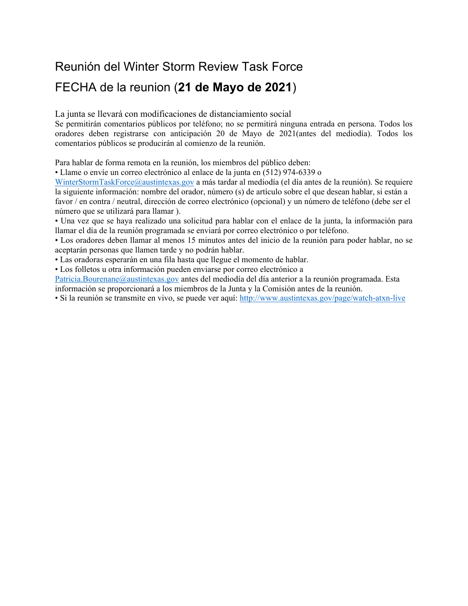# Reunión del Winter Storm Review Task Force

# FECHA de la reunion (**21 de Mayo de 2021**)

La junta se llevará con modificaciones de distanciamiento social

Se permitirán comentarios públicos por teléfono; no se permitirá ninguna entrada en persona. Todos los oradores deben registrarse con anticipación 20 de Mayo de 2021(antes del mediodía). Todos los comentarios públicos se producirán al comienzo de la reunión.

Para hablar de forma remota en la reunión, los miembros del público deben:

• Llame o envíe un correo electrónico al enlace de la junta en (512) 974-6339 o

WinterStormTaskForce@austintexas.gov a más tardar al mediodía (el día antes de la reunión). Se requiere la siguiente información: nombre del orador, número (s) de artículo sobre el que desean hablar, si están a favor / en contra / neutral, dirección de correo electrónico (opcional) y un número de teléfono (debe ser el número que se utilizará para llamar ).

• Una vez que se haya realizado una solicitud para hablar con el enlace de la junta, la información para llamar el día de la reunión programada se enviará por correo electrónico o por teléfono.

• Los oradores deben llamar al menos 15 minutos antes del inicio de la reunión para poder hablar, no se aceptarán personas que llamen tarde y no podrán hablar.

• Las oradoras esperarán en una fila hasta que llegue el momento de hablar.

• Los folletos u otra información pueden enviarse por correo electrónico a

Patricia.Bourenane@austintexas.gov antes del mediodía del día anterior a la reunión programada. Esta información se proporcionará a los miembros de la Junta y la Comisión antes de la reunión.

• Si la reunión se transmite en vivo, se puede ver aquí: http://www.austintexas.gov/page/watch-atxn-live